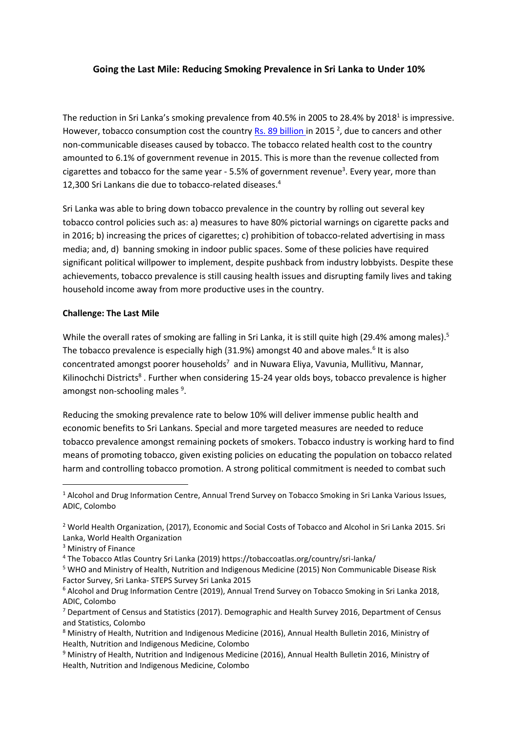## **Going the Last Mile: Reducing Smoking Prevalence in Sri Lanka to Under 10%**

The reduction in Sri Lanka's smoking prevalence from 40.5% in 2005 to 28.4% by 2018<sup>1</sup> is impressive. However, tobacco consumption cost the country **Rs. 89 billion** in 2015 <sup>2</sup>, due to cancers and other non-communicable diseases caused by tobacco. The tobacco related health cost to the country amounted to 6.1% of government revenue in 2015. This is more than the revenue collected from cigarettes and tobacco for the same year - 5.5% of government revenue<sup>3</sup>. Every year, more than 12,300 Sri Lankans die due to tobacco-related diseases.<sup>4</sup>

Sri Lanka was able to bring down tobacco prevalence in the country by rolling out several key tobacco control policies such as: a) measures to have 80% pictorial warnings on cigarette packs and in 2016; b) increasing the prices of cigarettes; c) prohibition of tobacco-related advertising in mass media; and, d) banning smoking in indoor public spaces. Some of these policies have required significant political willpower to implement, despite pushback from industry lobbyists. Despite these achievements, tobacco prevalence is still causing health issues and disrupting family lives and taking household income away from more productive uses in the country.

## **Challenge: The Last Mile**

While the overall rates of smoking are falling in Sri Lanka, it is still quite high (29.4% among males).<sup>5</sup> The tobacco prevalence is especially high (31.9%) amongst 40 and above males.<sup>6</sup> It is also concentrated amongst poorer households<sup>7</sup> and in Nuwara Eliya, Vavunia, Mullitivu, Mannar, Kilinochchi Districts<sup>8</sup>. Further when considering 15-24 year olds boys, tobacco prevalence is higher amongst non-schooling males <sup>9</sup>.

Reducing the smoking prevalence rate to below 10% will deliver immense public health and economic benefits to Sri Lankans. Special and more targeted measures are needed to reduce tobacco prevalence amongst remaining pockets of smokers. Tobacco industry is working hard to find means of promoting tobacco, given existing policies on educating the population on tobacco related harm and controlling tobacco promotion. A strong political commitment is needed to combat such

l

<sup>&</sup>lt;sup>1</sup> Alcohol and Drug Information Centre, Annual Trend Survey on Tobacco Smoking in Sri Lanka Various Issues, ADIC, Colombo

<sup>&</sup>lt;sup>2</sup> World Health Organization, (2017), Economic and Social Costs of Tobacco and Alcohol in Sri Lanka 2015. Sri Lanka, World Health Organization

<sup>3</sup> Ministry of Finance

<sup>4</sup> The Tobacco Atlas Country Sri Lanka (2019) https://tobaccoatlas.org/country/sri-lanka/

<sup>5</sup> WHO and Ministry of Health, Nutrition and Indigenous Medicine (2015) Non Communicable Disease Risk Factor Survey, Sri Lanka- STEPS Survey Sri Lanka 2015

<sup>6</sup> Alcohol and Drug Information Centre (2019), Annual Trend Survey on Tobacco Smoking in Sri Lanka 2018, ADIC, Colombo

<sup>&</sup>lt;sup>7</sup> Department of Census and Statistics (2017). Demographic and Health Survey 2016, Department of Census and Statistics, Colombo

<sup>8</sup> Ministry of Health, Nutrition and Indigenous Medicine (2016), Annual Health Bulletin 2016, Ministry of Health, Nutrition and Indigenous Medicine, Colombo

<sup>9</sup> Ministry of Health, Nutrition and Indigenous Medicine (2016), Annual Health Bulletin 2016, Ministry of Health, Nutrition and Indigenous Medicine, Colombo